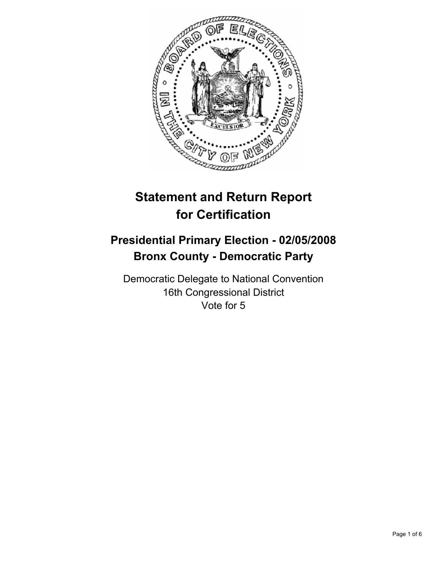

# **Statement and Return Report for Certification**

## **Presidential Primary Election - 02/05/2008 Bronx County - Democratic Party**

Democratic Delegate to National Convention 16th Congressional District Vote for 5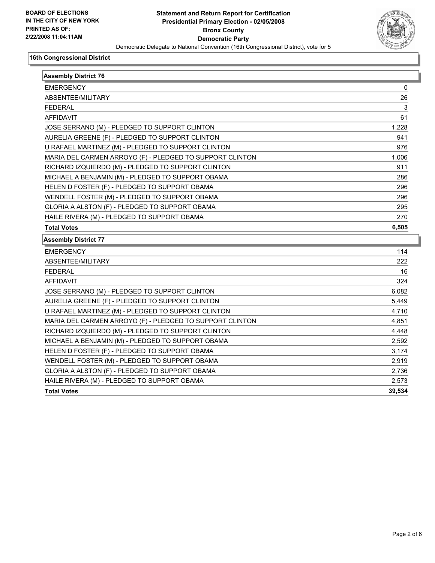

| <b>Assembly District 76</b>                              |        |
|----------------------------------------------------------|--------|
| <b>EMERGENCY</b>                                         | 0      |
| ABSENTEE/MILITARY                                        | 26     |
| <b>FEDERAL</b>                                           | 3      |
| <b>AFFIDAVIT</b>                                         | 61     |
| JOSE SERRANO (M) - PLEDGED TO SUPPORT CLINTON            | 1,228  |
| AURELIA GREENE (F) - PLEDGED TO SUPPORT CLINTON          | 941    |
| U RAFAEL MARTINEZ (M) - PLEDGED TO SUPPORT CLINTON       | 976    |
| MARIA DEL CARMEN ARROYO (F) - PLEDGED TO SUPPORT CLINTON | 1,006  |
| RICHARD IZQUIERDO (M) - PLEDGED TO SUPPORT CLINTON       | 911    |
| MICHAEL A BENJAMIN (M) - PLEDGED TO SUPPORT OBAMA        | 286    |
| HELEN D FOSTER (F) - PLEDGED TO SUPPORT OBAMA            | 296    |
| WENDELL FOSTER (M) - PLEDGED TO SUPPORT OBAMA            | 296    |
| GLORIA A ALSTON (F) - PLEDGED TO SUPPORT OBAMA           | 295    |
| HAILE RIVERA (M) - PLEDGED TO SUPPORT OBAMA              | 270    |
| <b>Total Votes</b>                                       | 6,505  |
| <b>Assembly District 77</b>                              |        |
| <b>EMERGENCY</b>                                         | 114    |
| ABSENTEE/MILITARY                                        | 222    |
| <b>FEDERAL</b>                                           | 16     |
| <b>AFFIDAVIT</b>                                         | 324    |
| JOSE SERRANO (M) - PLEDGED TO SUPPORT CLINTON            | 6,082  |
| AURELIA GREENE (F) - PLEDGED TO SUPPORT CLINTON          | 5,449  |
| U RAFAEL MARTINEZ (M) - PLEDGED TO SUPPORT CLINTON       | 4,710  |
| MARIA DEL CARMEN ARROYO (F) - PLEDGED TO SUPPORT CLINTON | 4,851  |
| RICHARD IZQUIERDO (M) - PLEDGED TO SUPPORT CLINTON       | 4,448  |
| MICHAEL A BENJAMIN (M) - PLEDGED TO SUPPORT OBAMA        | 2,592  |
| HELEN D FOSTER (F) - PLEDGED TO SUPPORT OBAMA            | 3,174  |
| WENDELL FOSTER (M) - PLEDGED TO SUPPORT OBAMA            | 2,919  |
| GLORIA A ALSTON (F) - PLEDGED TO SUPPORT OBAMA           | 2,736  |
| HAILE RIVERA (M) - PLEDGED TO SUPPORT OBAMA              | 2,573  |
| <b>Total Votes</b>                                       | 39,534 |
|                                                          |        |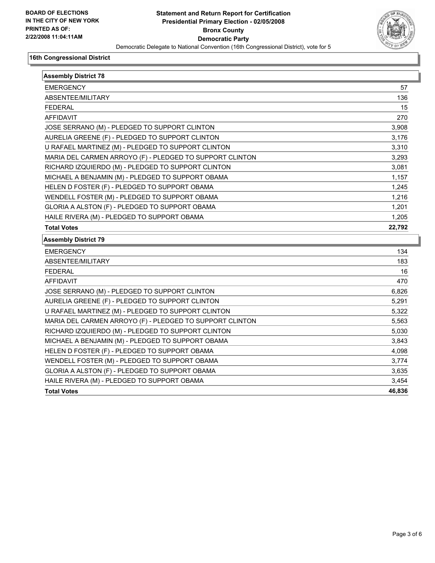

| <b>Assembly District 78</b>                              |        |
|----------------------------------------------------------|--------|
| <b>EMERGENCY</b>                                         | 57     |
| ABSENTEE/MILITARY                                        | 136    |
| <b>FEDERAL</b>                                           | 15     |
| <b>AFFIDAVIT</b>                                         | 270    |
| JOSE SERRANO (M) - PLEDGED TO SUPPORT CLINTON            | 3,908  |
| AURELIA GREENE (F) - PLEDGED TO SUPPORT CLINTON          | 3,176  |
| U RAFAEL MARTINEZ (M) - PLEDGED TO SUPPORT CLINTON       | 3,310  |
| MARIA DEL CARMEN ARROYO (F) - PLEDGED TO SUPPORT CLINTON | 3,293  |
| RICHARD IZQUIERDO (M) - PLEDGED TO SUPPORT CLINTON       | 3,081  |
| MICHAEL A BENJAMIN (M) - PLEDGED TO SUPPORT OBAMA        | 1,157  |
| HELEN D FOSTER (F) - PLEDGED TO SUPPORT OBAMA            | 1,245  |
| WENDELL FOSTER (M) - PLEDGED TO SUPPORT OBAMA            | 1,216  |
| GLORIA A ALSTON (F) - PLEDGED TO SUPPORT OBAMA           | 1,201  |
| HAILE RIVERA (M) - PLEDGED TO SUPPORT OBAMA              | 1,205  |
| <b>Total Votes</b>                                       | 22,792 |
| <b>Assembly District 79</b>                              |        |
| <b>EMERGENCY</b>                                         | 134    |
| ABSENTEE/MILITARY                                        | 183    |
| <b>FEDERAL</b>                                           | 16     |
| AFFIDAVIT                                                | 470    |
| JOSE SERRANO (M) - PLEDGED TO SUPPORT CLINTON            | 6,826  |
| AURELIA GREENE (F) - PLEDGED TO SUPPORT CLINTON          | 5.291  |
| U RAFAEL MARTINEZ (M) - PLEDGED TO SUPPORT CLINTON       | 5,322  |
| MARIA DEL CARMEN ARROYO (F) - PLEDGED TO SUPPORT CLINTON | 5,563  |
| RICHARD IZQUIERDO (M) - PLEDGED TO SUPPORT CLINTON       | 5,030  |
| MICHAEL A BENJAMIN (M) - PLEDGED TO SUPPORT OBAMA        | 3,843  |
| HELEN D FOSTER (F) - PLEDGED TO SUPPORT OBAMA            | 4,098  |
| WENDELL FOSTER (M) - PLEDGED TO SUPPORT OBAMA            | 3,774  |
| GLORIA A ALSTON (F) - PLEDGED TO SUPPORT OBAMA           | 3,635  |
| HAILE RIVERA (M) - PLEDGED TO SUPPORT OBAMA              | 3,454  |
| <b>Total Votes</b>                                       | 46,836 |
|                                                          |        |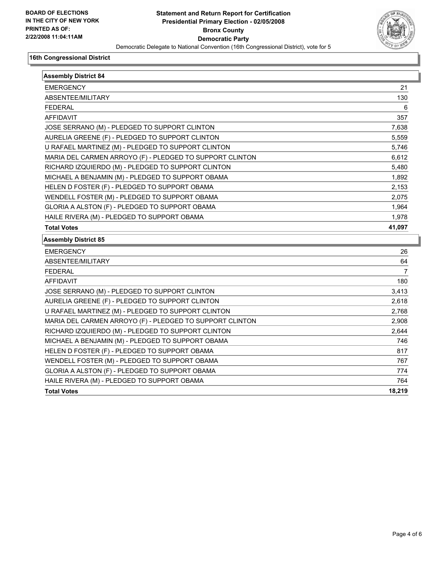

| <b>Assembly District 84</b>                              |        |
|----------------------------------------------------------|--------|
| <b>EMERGENCY</b>                                         | 21     |
| ABSENTEE/MILITARY                                        | 130    |
| <b>FEDERAL</b>                                           | 6      |
| <b>AFFIDAVIT</b>                                         | 357    |
| JOSE SERRANO (M) - PLEDGED TO SUPPORT CLINTON            | 7,638  |
| AURELIA GREENE (F) - PLEDGED TO SUPPORT CLINTON          | 5,559  |
| U RAFAEL MARTINEZ (M) - PLEDGED TO SUPPORT CLINTON       | 5,746  |
| MARIA DEL CARMEN ARROYO (F) - PLEDGED TO SUPPORT CLINTON | 6,612  |
| RICHARD IZQUIERDO (M) - PLEDGED TO SUPPORT CLINTON       | 5,480  |
| MICHAEL A BENJAMIN (M) - PLEDGED TO SUPPORT OBAMA        | 1,892  |
| HELEN D FOSTER (F) - PLEDGED TO SUPPORT OBAMA            | 2,153  |
| WENDELL FOSTER (M) - PLEDGED TO SUPPORT OBAMA            | 2,075  |
| GLORIA A ALSTON (F) - PLEDGED TO SUPPORT OBAMA           | 1,964  |
| HAILE RIVERA (M) - PLEDGED TO SUPPORT OBAMA              | 1,978  |
| <b>Total Votes</b>                                       | 41,097 |
| <b>Assembly District 85</b>                              |        |
| <b>EMERGENCY</b>                                         | 26     |
| ABSENTEE/MILITARY                                        | 64     |
| <b>FEDERAL</b>                                           | 7      |
| <b>AFFIDAVIT</b>                                         | 180    |
| JOSE SERRANO (M) - PLEDGED TO SUPPORT CLINTON            | 3,413  |
| AURELIA GREENE (F) - PLEDGED TO SUPPORT CLINTON          | 2,618  |
| U RAFAEL MARTINEZ (M) - PLEDGED TO SUPPORT CLINTON       | 2,768  |
| MARIA DEL CARMEN ARROYO (F) - PLEDGED TO SUPPORT CLINTON | 2,908  |
| RICHARD IZQUIERDO (M) - PLEDGED TO SUPPORT CLINTON       | 2,644  |
| MICHAEL A BENJAMIN (M) - PLEDGED TO SUPPORT OBAMA        | 746    |
| HELEN D FOSTER (F) - PLEDGED TO SUPPORT OBAMA            | 817    |
| WENDELL FOSTER (M) - PLEDGED TO SUPPORT OBAMA            | 767    |
| GLORIA A ALSTON (F) - PLEDGED TO SUPPORT OBAMA           | 774    |
| HAILE RIVERA (M) - PLEDGED TO SUPPORT OBAMA              | 764    |
| <b>Total Votes</b>                                       | 18,219 |
|                                                          |        |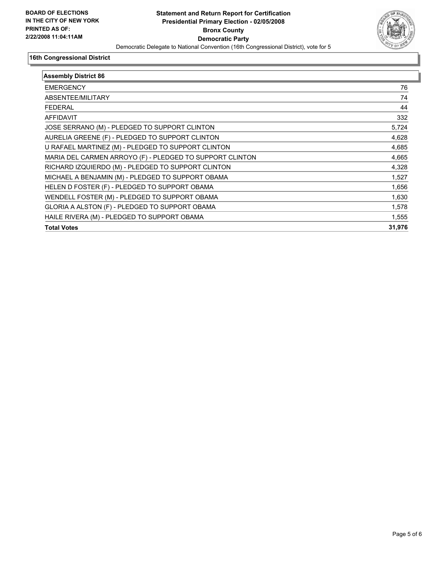

| <b>Assembly District 86</b>                              |        |
|----------------------------------------------------------|--------|
| <b>EMERGENCY</b>                                         | 76     |
| ABSENTEE/MILITARY                                        | 74     |
| <b>FEDERAL</b>                                           | 44     |
| AFFIDAVIT                                                | 332    |
| JOSE SERRANO (M) - PLEDGED TO SUPPORT CLINTON            | 5,724  |
| AURELIA GREENE (F) - PLEDGED TO SUPPORT CLINTON          | 4,628  |
| U RAFAEL MARTINEZ (M) - PLEDGED TO SUPPORT CLINTON       | 4,685  |
| MARIA DEL CARMEN ARROYO (F) - PLEDGED TO SUPPORT CLINTON | 4,665  |
| RICHARD IZQUIERDO (M) - PLEDGED TO SUPPORT CLINTON       | 4,328  |
| MICHAEL A BENJAMIN (M) - PLEDGED TO SUPPORT OBAMA        | 1,527  |
| HELEN D FOSTER (F) - PLEDGED TO SUPPORT OBAMA            | 1,656  |
| WENDELL FOSTER (M) - PLEDGED TO SUPPORT OBAMA            | 1,630  |
| GLORIA A ALSTON (F) - PLEDGED TO SUPPORT OBAMA           | 1,578  |
| HAILE RIVERA (M) - PLEDGED TO SUPPORT OBAMA              | 1,555  |
| <b>Total Votes</b>                                       | 31,976 |
|                                                          |        |